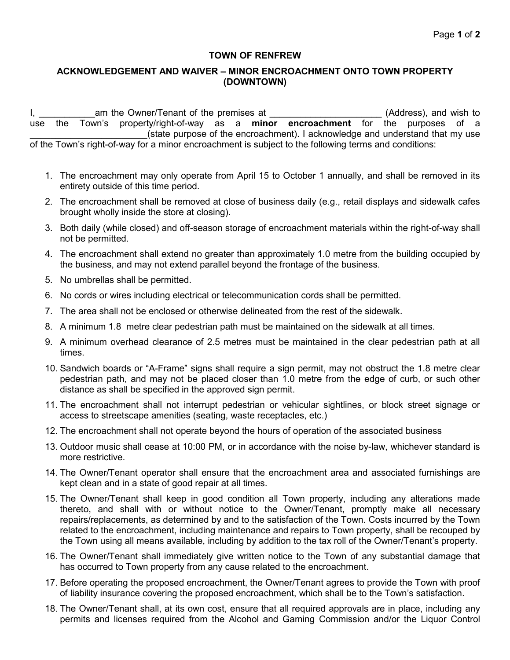## **TOWN OF RENFREW**

## **ACKNOWLEDGEMENT AND WAIVER – MINOR ENCROACHMENT ONTO TOWN PROPERTY (DOWNTOWN)**

I, am the Owner/Tenant of the premises at the state of the state of the state of the state of the state of the state of the state of the state of the state of the state of the state of the state of the state of the state o use the Town's property/right-of-way as a **minor encroachment** for the purposes of a (state purpose of the encroachment). I acknowledge and understand that my use of the Town's right-of-way for a minor encroachment is subject to the following terms and conditions:

- 1. The encroachment may only operate from April 15 to October 1 annually, and shall be removed in its entirety outside of this time period.
- 2. The encroachment shall be removed at close of business daily (e.g., retail displays and sidewalk cafes brought wholly inside the store at closing).
- 3. Both daily (while closed) and off-season storage of encroachment materials within the right-of-way shall not be permitted.
- 4. The encroachment shall extend no greater than approximately 1.0 metre from the building occupied by the business, and may not extend parallel beyond the frontage of the business.
- 5. No umbrellas shall be permitted.
- 6. No cords or wires including electrical or telecommunication cords shall be permitted.
- 7. The area shall not be enclosed or otherwise delineated from the rest of the sidewalk.
- 8. A minimum 1.8 metre clear pedestrian path must be maintained on the sidewalk at all times.
- 9. A minimum overhead clearance of 2.5 metres must be maintained in the clear pedestrian path at all times.
- 10. Sandwich boards or "A-Frame" signs shall require a sign permit, may not obstruct the 1.8 metre clear pedestrian path, and may not be placed closer than 1.0 metre from the edge of curb, or such other distance as shall be specified in the approved sign permit.
- 11. The encroachment shall not interrupt pedestrian or vehicular sightlines, or block street signage or access to streetscape amenities (seating, waste receptacles, etc.)
- 12. The encroachment shall not operate beyond the hours of operation of the associated business
- 13. Outdoor music shall cease at 10:00 PM, or in accordance with the noise by-law, whichever standard is more restrictive.
- 14. The Owner/Tenant operator shall ensure that the encroachment area and associated furnishings are kept clean and in a state of good repair at all times.
- 15. The Owner/Tenant shall keep in good condition all Town property, including any alterations made thereto, and shall with or without notice to the Owner/Tenant, promptly make all necessary repairs/replacements, as determined by and to the satisfaction of the Town. Costs incurred by the Town related to the encroachment, including maintenance and repairs to Town property, shall be recouped by the Town using all means available, including by addition to the tax roll of the Owner/Tenant's property.
- 16. The Owner/Tenant shall immediately give written notice to the Town of any substantial damage that has occurred to Town property from any cause related to the encroachment.
- 17. Before operating the proposed encroachment, the Owner/Tenant agrees to provide the Town with proof of liability insurance covering the proposed encroachment, which shall be to the Town's satisfaction.
- 18. The Owner/Tenant shall, at its own cost, ensure that all required approvals are in place, including any permits and licenses required from the Alcohol and Gaming Commission and/or the Liquor Control